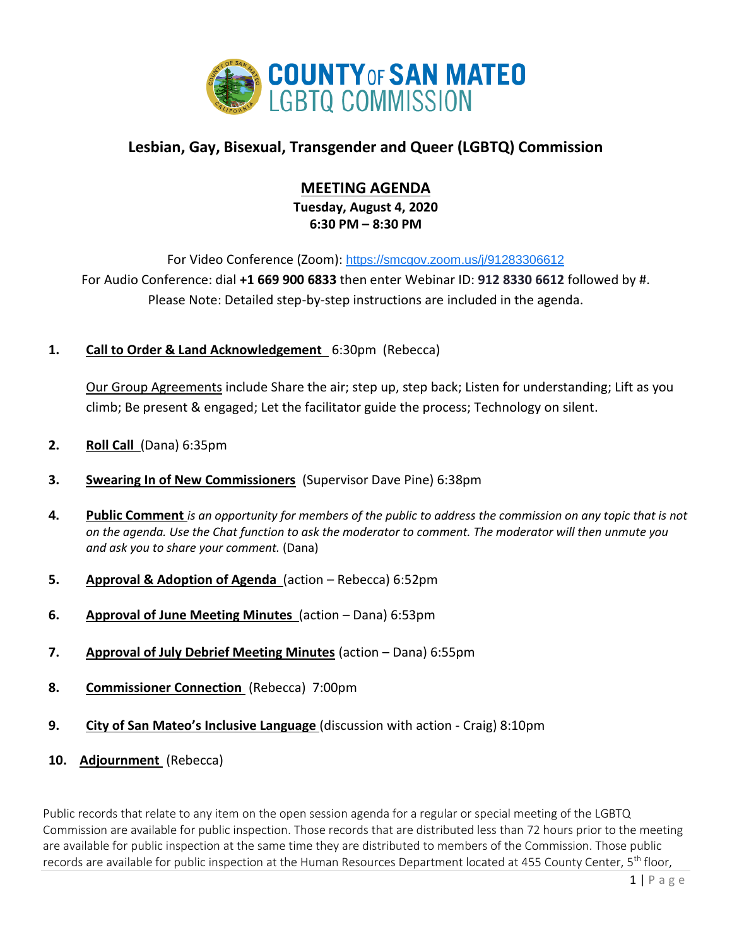

# **Lesbian, Gay, Bisexual, Transgender and Queer (LGBTQ) Commission**

# **MEETING AGENDA**

**Tuesday, August 4, 2020 6:30 PM – 8:30 PM**

For Video Conference (Zoom): <https://smcgov.zoom.us/j/91283306612> For Audio Conference: dial **+1 669 900 6833** then enter Webinar ID: **912 8330 6612** followed by #. Please Note: Detailed step-by-step instructions are included in the agenda.

**1. Call to Order & Land Acknowledgement** 6:30pm (Rebecca)

Our Group Agreements include Share the air; step up, step back; Listen for understanding; Lift as you climb; Be present & engaged; Let the facilitator guide the process; Technology on silent.

- **2. Roll Call** (Dana) 6:35pm
- **3. Swearing In of New Commissioners** (Supervisor Dave Pine) 6:38pm
- **4. Public Comment** *is an opportunity for members of the public to address the commission on any topic that is not on the agenda. Use the Chat function to ask the moderator to comment. The moderator will then unmute you and ask you to share your comment.* (Dana)
- **5. Approval & Adoption of Agenda** (action Rebecca) 6:52pm
- **6. Approval of June Meeting Minutes** (action Dana) 6:53pm
- **7. Approval of July Debrief Meeting Minutes** (action Dana) 6:55pm
- **8. Commissioner Connection** (Rebecca) 7:00pm
- **9. City of San Mateo's Inclusive Language** (discussion with action Craig) 8:10pm
- **10. Adjournment** (Rebecca)

Public records that relate to any item on the open session agenda for a regular or special meeting of the LGBTQ Commission are available for public inspection. Those records that are distributed less than 72 hours prior to the meeting are available for public inspection at the same time they are distributed to members of the Commission. Those public records are available for public inspection at the Human Resources Department located at 455 County Center, 5<sup>th</sup> floor,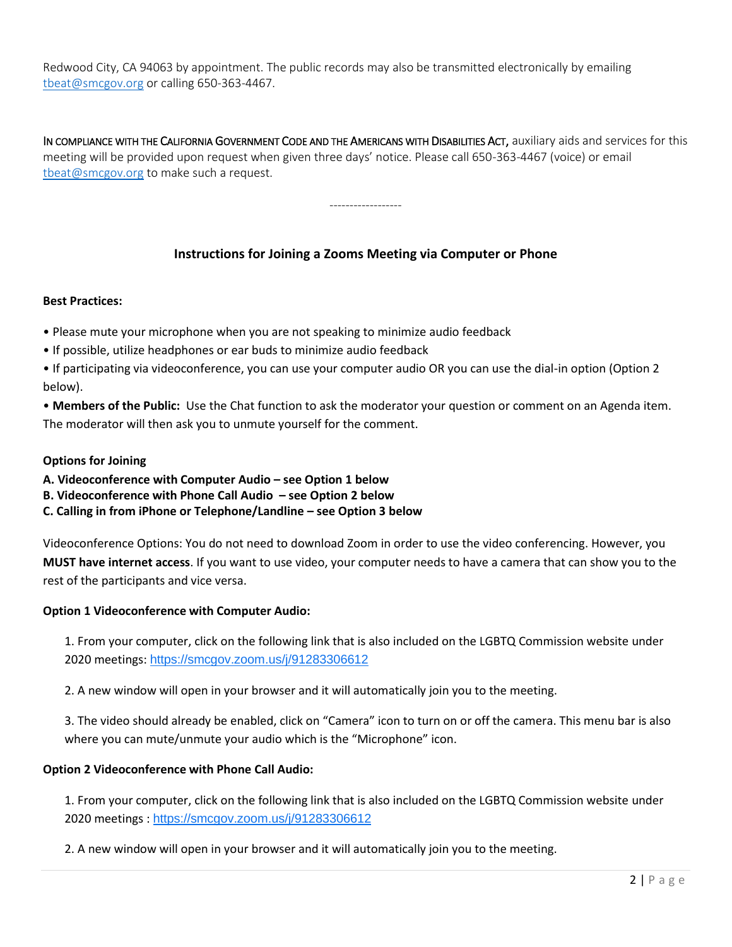Redwood City, CA 94063 by appointment. The public records may also be transmitted electronically by emailing [tbeat@smcgov.org](mailto:tbeat@smcgov.org) or calling 650-363-4467.

IN COMPLIANCE WITH THE CALIFORNIA GOVERNMENT CODE AND THE AMERICANS WITH DISABILITIES ACT, auxiliary aids and services for this meeting will be provided upon request when given three days' notice. Please call 650-363-4467 (voice) or email [tbeat@smcgov.org](mailto:tbeat@smcgov.org) to make such a request.

------------------

**Instructions for Joining a Zooms Meeting via Computer or Phone**

### **Best Practices:**

- Please mute your microphone when you are not speaking to minimize audio feedback
- If possible, utilize headphones or ear buds to minimize audio feedback
- If participating via videoconference, you can use your computer audio OR you can use the dial-in option (Option 2 below).
- **Members of the Public:** Use the Chat function to ask the moderator your question or comment on an Agenda item. The moderator will then ask you to unmute yourself for the comment.

### **Options for Joining**

- **A. Videoconference with Computer Audio – see Option 1 below**
- **B. Videoconference with Phone Call Audio – see Option 2 below**
- **C. Calling in from iPhone or Telephone/Landline – see Option 3 below**

Videoconference Options: You do not need to download Zoom in order to use the video conferencing. However, you **MUST have internet access**. If you want to use video, your computer needs to have a camera that can show you to the rest of the participants and vice versa.

#### **Option 1 Videoconference with Computer Audio:**

1. From your computer, click on the following link that is also included on the LGBTQ Commission website under 2020 meetings: <https://smcgov.zoom.us/j/91283306612>

2. A new window will open in your browser and it will automatically join you to the meeting.

3. The video should already be enabled, click on "Camera" icon to turn on or off the camera. This menu bar is also where you can mute/unmute your audio which is the "Microphone" icon.

#### **Option 2 Videoconference with Phone Call Audio:**

1. From your computer, click on the following link that is also included on the LGBTQ Commission website under 2020 meetings : <https://smcgov.zoom.us/j/91283306612>

2. A new window will open in your browser and it will automatically join you to the meeting.